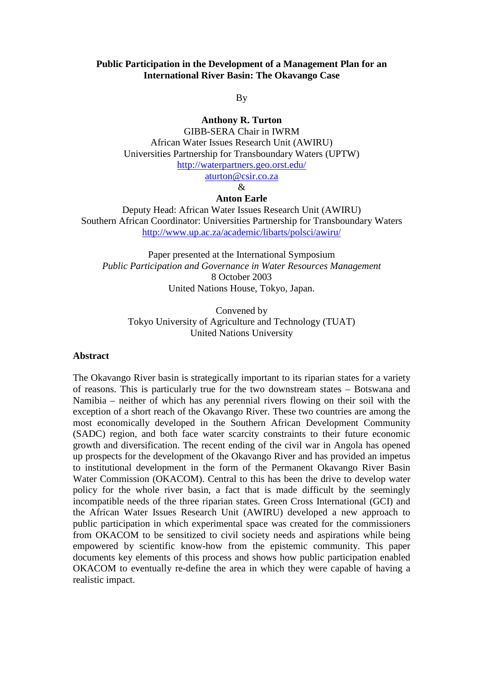#### **Public Participation in the Development of a Management Plan for an International River Basin: The Okavango Case**

By

#### **Anthony R. Turton**

GIBB-SERA Chair in IWRM African Water Issues Research Unit (AWIRU) Universities Partnership for Transboundary Waters (UPTW) http://waterpartners.geo.orst.edu/

aturton@csir.co.za

&

#### **Anton Earle**

Deputy Head: African Water Issues Research Unit (AWIRU) Southern African Coordinator: Universities Partnership for Transboundary Waters http://www.up.ac.za/academic/libarts/polsci/awiru/

Paper presented at the International Symposium *Public Participation and Governance in Water Resources Management*  8 October 2003 United Nations House, Tokyo, Japan.

Convened by Tokyo University of Agriculture and Technology (TUAT) United Nations University

#### **Abstract**

The Okavango River basin is strategically important to its riparian states for a variety of reasons. This is particularly true for the two downstream states – Botswana and Namibia – neither of which has any perennial rivers flowing on their soil with the exception of a short reach of the Okavango River. These two countries are among the most economically developed in the Southern African Development Community (SADC) region, and both face water scarcity constraints to their future economic growth and diversification. The recent ending of the civil war in Angola has opened up prospects for the development of the Okavango River and has provided an impetus to institutional development in the form of the Permanent Okavango River Basin Water Commission (OKACOM). Central to this has been the drive to develop water policy for the whole river basin, a fact that is made difficult by the seemingly incompatible needs of the three riparian states. Green Cross International (GCI) and the African Water Issues Research Unit (AWIRU) developed a new approach to public participation in which experimental space was created for the commissioners from OKACOM to be sensitized to civil society needs and aspirations while being empowered by scientific know-how from the epistemic community. This paper documents key elements of this process and shows how public participation enabled OKACOM to eventually re-define the area in which they were capable of having a realistic impact.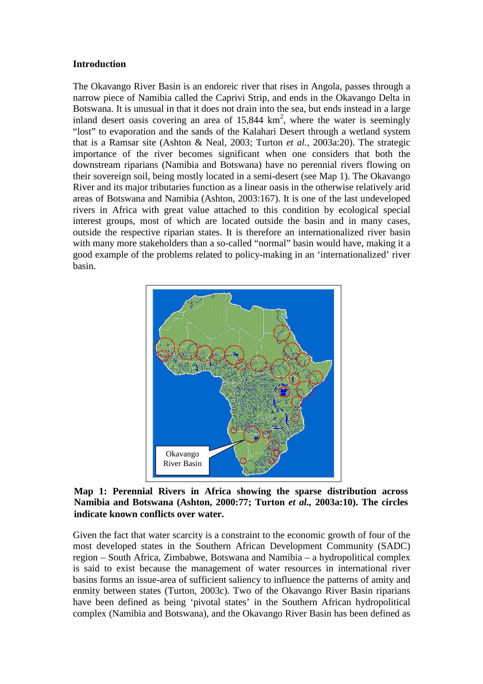#### **Introduction**

The Okavango River Basin is an endoreic river that rises in Angola, passes through a narrow piece of Namibia called the Caprivi Strip, and ends in the Okavango Delta in Botswana. It is unusual in that it does not drain into the sea, but ends instead in a large inland desert oasis covering an area of  $15,844 \text{ km}^2$ , where the water is seemingly "lost" to evaporation and the sands of the Kalahari Desert through a wetland system that is a Ramsar site (Ashton & Neal, 2003; Turton *et al.,* 2003a:20). The strategic importance of the river becomes significant when one considers that both the downstream riparians (Namibia and Botswana) have no perennial rivers flowing on their sovereign soil, being mostly located in a semi-desert (see Map 1). The Okavango River and its major tributaries function as a linear oasis in the otherwise relatively arid areas of Botswana and Namibia (Ashton, 2003:167). It is one of the last undeveloped rivers in Africa with great value attached to this condition by ecological special interest groups, most of which are located outside the basin and in many cases, outside the respective riparian states. It is therefore an internationalized river basin with many more stakeholders than a so-called "normal" basin would have, making it a good example of the problems related to policy-making in an 'internationalized' river basin.



#### **Map 1: Perennial Rivers in Africa showing the sparse distribution across Namibia and Botswana (Ashton, 2000:77; Turton** *et al.,* **2003a:10). The circles indicate known conflicts over water.**

Given the fact that water scarcity is a constraint to the economic growth of four of the most developed states in the Southern African Development Community (SADC) region – South Africa, Zimbabwe, Botswana and Namibia – a hydropolitical complex is said to exist because the management of water resources in international river basins forms an issue-area of sufficient saliency to influence the patterns of amity and enmity between states (Turton, 2003c). Two of the Okavango River Basin riparians have been defined as being 'pivotal states' in the Southern African hydropolitical complex (Namibia and Botswana), and the Okavango River Basin has been defined as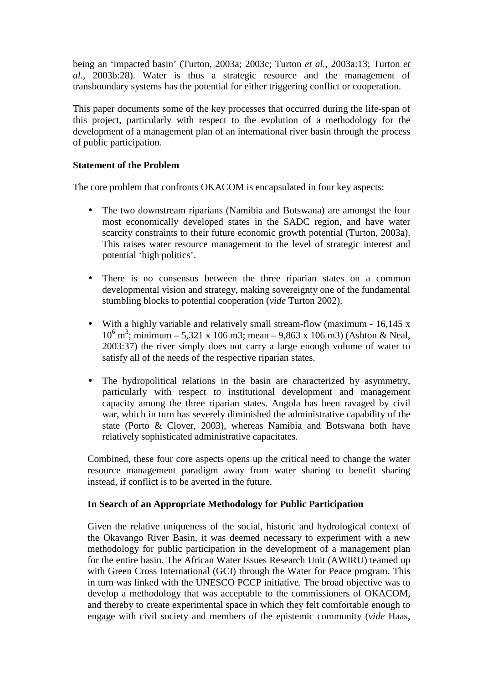being an 'impacted basin' (Turton, 2003a; 2003c; Turton *et al.,* 2003a:13; Turton *et al.,* 2003b:28). Water is thus a strategic resource and the management of transboundary systems has the potential for either triggering conflict or cooperation.

This paper documents some of the key processes that occurred during the life-span of this project, particularly with respect to the evolution of a methodology for the development of a management plan of an international river basin through the process of public participation.

## **Statement of the Problem**

The core problem that confronts OKACOM is encapsulated in four key aspects:

- The two downstream riparians (Namibia and Botswana) are amongst the four most economically developed states in the SADC region, and have water scarcity constraints to their future economic growth potential (Turton, 2003a). This raises water resource management to the level of strategic interest and potential 'high politics'.
- There is no consensus between the three riparian states on a common developmental vision and strategy, making sovereignty one of the fundamental stumbling blocks to potential cooperation (*vide* Turton 2002).
- With a highly variable and relatively small stream-flow (maximum 16,145 x  $10^6$  m<sup>3</sup>; minimum – 5,321 x 106 m3; mean – 9,863 x 106 m3) (Ashton & Neal, 2003:37) the river simply does not carry a large enough volume of water to satisfy all of the needs of the respective riparian states.
- The hydropolitical relations in the basin are characterized by asymmetry, particularly with respect to institutional development and management capacity among the three riparian states. Angola has been ravaged by civil war, which in turn has severely diminished the administrative capability of the state (Porto & Clover, 2003), whereas Namibia and Botswana both have relatively sophisticated administrative capacitates.

Combined, these four core aspects opens up the critical need to change the water resource management paradigm away from water sharing to benefit sharing instead, if conflict is to be averted in the future.

# **In Search of an Appropriate Methodology for Public Participation**

Given the relative uniqueness of the social, historic and hydrological context of the Okavango River Basin, it was deemed necessary to experiment with a new methodology for public participation in the development of a management plan for the entire basin. The African Water Issues Research Unit (AWIRU) teamed up with Green Cross International (GCI) through the Water for Peace program. This in turn was linked with the UNESCO PCCP initiative. The broad objective was to develop a methodology that was acceptable to the commissioners of OKACOM, and thereby to create experimental space in which they felt comfortable enough to engage with civil society and members of the epistemic community (*vide* Haas,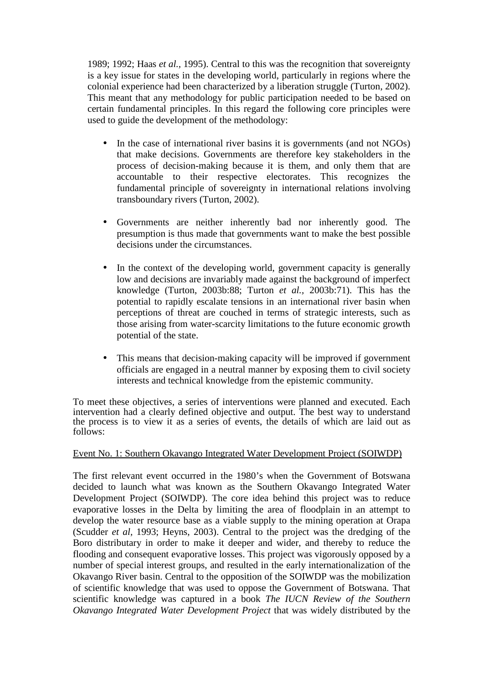1989; 1992; Haas *et al.,* 1995). Central to this was the recognition that sovereignty is a key issue for states in the developing world, particularly in regions where the colonial experience had been characterized by a liberation struggle (Turton, 2002). This meant that any methodology for public participation needed to be based on certain fundamental principles. In this regard the following core principles were used to guide the development of the methodology:

- In the case of international river basins it is governments (and not NGOs) that make decisions. Governments are therefore key stakeholders in the process of decision-making because it is them, and only them that are accountable to their respective electorates. This recognizes the fundamental principle of sovereignty in international relations involving transboundary rivers (Turton, 2002).
- Governments are neither inherently bad nor inherently good. The presumption is thus made that governments want to make the best possible decisions under the circumstances.
- In the context of the developing world, government capacity is generally low and decisions are invariably made against the background of imperfect knowledge (Turton, 2003b:88; Turton *et al.,* 2003b:71). This has the potential to rapidly escalate tensions in an international river basin when perceptions of threat are couched in terms of strategic interests, such as those arising from water-scarcity limitations to the future economic growth potential of the state.
- This means that decision-making capacity will be improved if government officials are engaged in a neutral manner by exposing them to civil society interests and technical knowledge from the epistemic community.

To meet these objectives, a series of interventions were planned and executed. Each intervention had a clearly defined objective and output. The best way to understand the process is to view it as a series of events, the details of which are laid out as follows:

## Event No. 1: Southern Okavango Integrated Water Development Project (SOIWDP)

The first relevant event occurred in the 1980's when the Government of Botswana decided to launch what was known as the Southern Okavango Integrated Water Development Project (SOIWDP). The core idea behind this project was to reduce evaporative losses in the Delta by limiting the area of floodplain in an attempt to develop the water resource base as a viable supply to the mining operation at Orapa (Scudder *et al,* 1993; Heyns, 2003). Central to the project was the dredging of the Boro distributary in order to make it deeper and wider, and thereby to reduce the flooding and consequent evaporative losses. This project was vigorously opposed by a number of special interest groups, and resulted in the early internationalization of the Okavango River basin. Central to the opposition of the SOIWDP was the mobilization of scientific knowledge that was used to oppose the Government of Botswana. That scientific knowledge was captured in a book *The IUCN Review of the Southern Okavango Integrated Water Development Project* that was widely distributed by the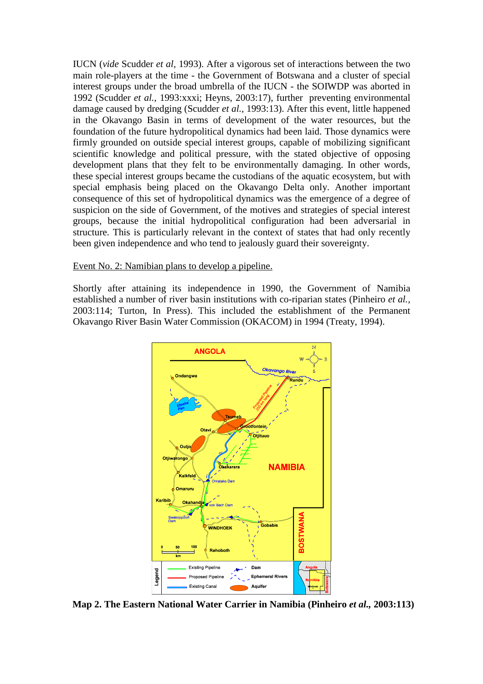IUCN (*vide* Scudder *et al,* 1993). After a vigorous set of interactions between the two main role-players at the time - the Government of Botswana and a cluster of special interest groups under the broad umbrella of the IUCN - the SOIWDP was aborted in 1992 (Scudder *et al.,* 1993:xxxi; Heyns, 2003:17), further preventing environmental damage caused by dredging (Scudder *et al.,* 1993:13). After this event, little happened in the Okavango Basin in terms of development of the water resources, but the foundation of the future hydropolitical dynamics had been laid. Those dynamics were firmly grounded on outside special interest groups, capable of mobilizing significant scientific knowledge and political pressure, with the stated objective of opposing development plans that they felt to be environmentally damaging. In other words, these special interest groups became the custodians of the aquatic ecosystem, but with special emphasis being placed on the Okavango Delta only. Another important consequence of this set of hydropolitical dynamics was the emergence of a degree of suspicion on the side of Government, of the motives and strategies of special interest groups, because the initial hydropolitical configuration had been adversarial in structure. This is particularly relevant in the context of states that had only recently been given independence and who tend to jealously guard their sovereignty.

#### Event No. 2: Namibian plans to develop a pipeline.

Shortly after attaining its independence in 1990, the Government of Namibia established a number of river basin institutions with co-riparian states (Pinheiro *et al.,* 2003:114; Turton, In Press). This included the establishment of the Permanent Okavango River Basin Water Commission (OKACOM) in 1994 (Treaty, 1994).



**Map 2. The Eastern National Water Carrier in Namibia (Pinheiro** *et al.,* **2003:113)**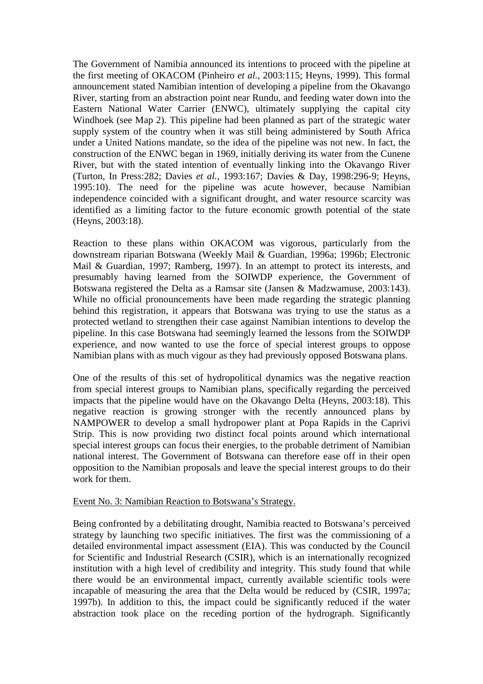The Government of Namibia announced its intentions to proceed with the pipeline at the first meeting of OKACOM (Pinheiro *et al.,* 2003:115; Heyns, 1999). This formal announcement stated Namibian intention of developing a pipeline from the Okavango River, starting from an abstraction point near Rundu, and feeding water down into the Eastern National Water Carrier (ENWC), ultimately supplying the capital city Windhoek (see Map 2). This pipeline had been planned as part of the strategic water supply system of the country when it was still being administered by South Africa under a United Nations mandate, so the idea of the pipeline was not new. In fact, the construction of the ENWC began in 1969, initially deriving its water from the Cunene River, but with the stated intention of eventually linking into the Okavango River (Turton, In Press:282; Davies *et al.,* 1993:167; Davies & Day, 1998:296-9; Heyns, 1995:10). The need for the pipeline was acute however, because Namibian independence coincided with a significant drought, and water resource scarcity was identified as a limiting factor to the future economic growth potential of the state (Heyns, 2003:18).

Reaction to these plans within OKACOM was vigorous, particularly from the downstream riparian Botswana (Weekly Mail & Guardian, 1996a; 1996b; Electronic Mail & Guardian, 1997; Ramberg, 1997). In an attempt to protect its interests, and presumably having learned from the SOIWDP experience, the Government of Botswana registered the Delta as a Ramsar site (Jansen & Madzwamuse, 2003:143). While no official pronouncements have been made regarding the strategic planning behind this registration, it appears that Botswana was trying to use the status as a protected wetland to strengthen their case against Namibian intentions to develop the pipeline. In this case Botswana had seemingly learned the lessons from the SOIWDP experience, and now wanted to use the force of special interest groups to oppose Namibian plans with as much vigour as they had previously opposed Botswana plans.

One of the results of this set of hydropolitical dynamics was the negative reaction from special interest groups to Namibian plans, specifically regarding the perceived impacts that the pipeline would have on the Okavango Delta (Heyns, 2003:18). This negative reaction is growing stronger with the recently announced plans by NAMPOWER to develop a small hydropower plant at Popa Rapids in the Caprivi Strip. This is now providing two distinct focal points around which international special interest groups can focus their energies, to the probable detriment of Namibian national interest. The Government of Botswana can therefore ease off in their open opposition to the Namibian proposals and leave the special interest groups to do their work for them.

## Event No. 3: Namibian Reaction to Botswana's Strategy.

Being confronted by a debilitating drought, Namibia reacted to Botswana's perceived strategy by launching two specific initiatives. The first was the commissioning of a detailed environmental impact assessment (EIA). This was conducted by the Council for Scientific and Industrial Research (CSIR), which is an internationally recognized institution with a high level of credibility and integrity. This study found that while there would be an environmental impact, currently available scientific tools were incapable of measuring the area that the Delta would be reduced by (CSIR, 1997a; 1997b). In addition to this, the impact could be significantly reduced if the water abstraction took place on the receding portion of the hydrograph. Significantly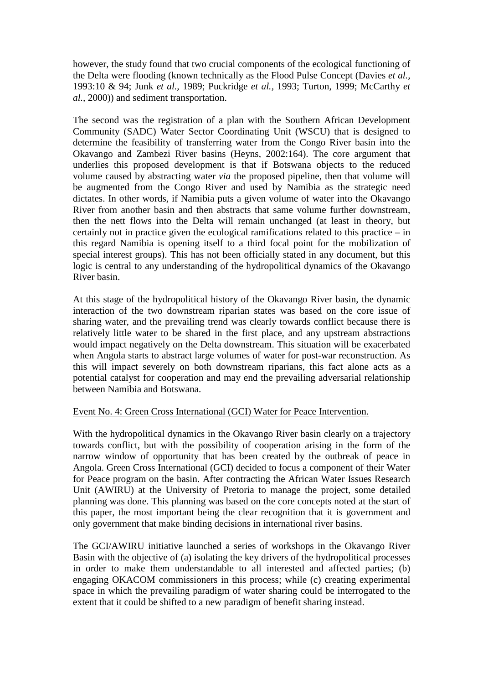however, the study found that two crucial components of the ecological functioning of the Delta were flooding (known technically as the Flood Pulse Concept (Davies *et al.,* 1993:10 & 94; Junk *et al.,* 1989; Puckridge *et al.,* 1993; Turton, 1999; McCarthy *et al.,* 2000)) and sediment transportation.

The second was the registration of a plan with the Southern African Development Community (SADC) Water Sector Coordinating Unit (WSCU) that is designed to determine the feasibility of transferring water from the Congo River basin into the Okavango and Zambezi River basins (Heyns, 2002:164). The core argument that underlies this proposed development is that if Botswana objects to the reduced volume caused by abstracting water *via* the proposed pipeline, then that volume will be augmented from the Congo River and used by Namibia as the strategic need dictates. In other words, if Namibia puts a given volume of water into the Okavango River from another basin and then abstracts that same volume further downstream, then the nett flows into the Delta will remain unchanged (at least in theory, but certainly not in practice given the ecological ramifications related to this practice – in this regard Namibia is opening itself to a third focal point for the mobilization of special interest groups). This has not been officially stated in any document, but this logic is central to any understanding of the hydropolitical dynamics of the Okavango River basin.

At this stage of the hydropolitical history of the Okavango River basin, the dynamic interaction of the two downstream riparian states was based on the core issue of sharing water, and the prevailing trend was clearly towards conflict because there is relatively little water to be shared in the first place, and any upstream abstractions would impact negatively on the Delta downstream. This situation will be exacerbated when Angola starts to abstract large volumes of water for post-war reconstruction. As this will impact severely on both downstream riparians, this fact alone acts as a potential catalyst for cooperation and may end the prevailing adversarial relationship between Namibia and Botswana.

## Event No. 4: Green Cross International (GCI) Water for Peace Intervention.

With the hydropolitical dynamics in the Okavango River basin clearly on a trajectory towards conflict, but with the possibility of cooperation arising in the form of the narrow window of opportunity that has been created by the outbreak of peace in Angola. Green Cross International (GCI) decided to focus a component of their Water for Peace program on the basin. After contracting the African Water Issues Research Unit (AWIRU) at the University of Pretoria to manage the project, some detailed planning was done. This planning was based on the core concepts noted at the start of this paper, the most important being the clear recognition that it is government and only government that make binding decisions in international river basins.

The GCI/AWIRU initiative launched a series of workshops in the Okavango River Basin with the objective of (a) isolating the key drivers of the hydropolitical processes in order to make them understandable to all interested and affected parties; (b) engaging OKACOM commissioners in this process; while (c) creating experimental space in which the prevailing paradigm of water sharing could be interrogated to the extent that it could be shifted to a new paradigm of benefit sharing instead.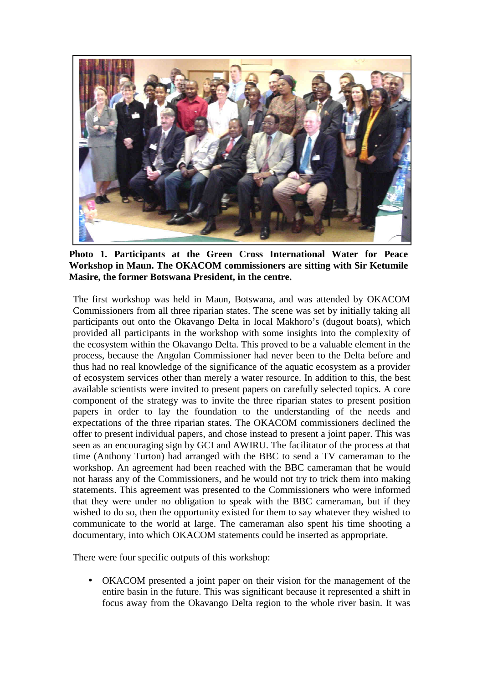

**Photo 1. Participants at the Green Cross International Water for Peace Workshop in Maun. The OKACOM commissioners are sitting with Sir Ketumile Masire, the former Botswana President, in the centre.** 

The first workshop was held in Maun, Botswana, and was attended by OKACOM Commissioners from all three riparian states. The scene was set by initially taking all participants out onto the Okavango Delta in local Makhoro's (dugout boats), which provided all participants in the workshop with some insights into the complexity of the ecosystem within the Okavango Delta. This proved to be a valuable element in the process, because the Angolan Commissioner had never been to the Delta before and thus had no real knowledge of the significance of the aquatic ecosystem as a provider of ecosystem services other than merely a water resource. In addition to this, the best available scientists were invited to present papers on carefully selected topics. A core component of the strategy was to invite the three riparian states to present position papers in order to lay the foundation to the understanding of the needs and expectations of the three riparian states. The OKACOM commissioners declined the offer to present individual papers, and chose instead to present a joint paper. This was seen as an encouraging sign by GCI and AWIRU. The facilitator of the process at that time (Anthony Turton) had arranged with the BBC to send a TV cameraman to the workshop. An agreement had been reached with the BBC cameraman that he would not harass any of the Commissioners, and he would not try to trick them into making statements. This agreement was presented to the Commissioners who were informed that they were under no obligation to speak with the BBC cameraman, but if they wished to do so, then the opportunity existed for them to say whatever they wished to communicate to the world at large. The cameraman also spent his time shooting a documentary, into which OKACOM statements could be inserted as appropriate.

There were four specific outputs of this workshop:

• OKACOM presented a joint paper on their vision for the management of the entire basin in the future. This was significant because it represented a shift in focus away from the Okavango Delta region to the whole river basin. It was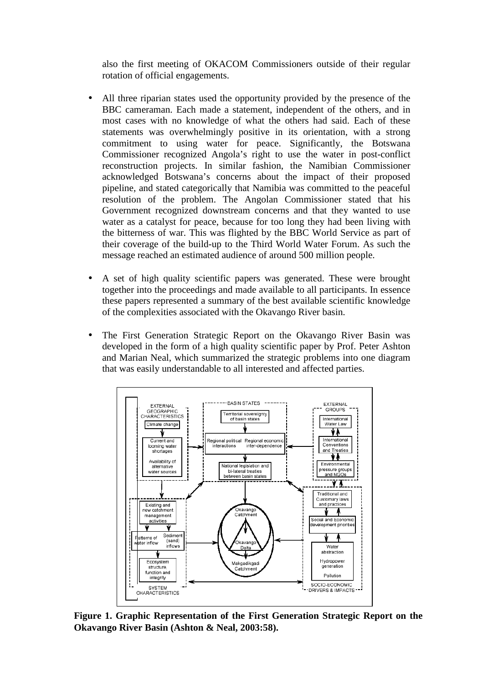also the first meeting of OKACOM Commissioners outside of their regular rotation of official engagements.

- All three riparian states used the opportunity provided by the presence of the BBC cameraman. Each made a statement, independent of the others, and in most cases with no knowledge of what the others had said. Each of these statements was overwhelmingly positive in its orientation, with a strong commitment to using water for peace. Significantly, the Botswana Commissioner recognized Angola's right to use the water in post-conflict reconstruction projects. In similar fashion, the Namibian Commissioner acknowledged Botswana's concerns about the impact of their proposed pipeline, and stated categorically that Namibia was committed to the peaceful resolution of the problem. The Angolan Commissioner stated that his Government recognized downstream concerns and that they wanted to use water as a catalyst for peace, because for too long they had been living with the bitterness of war. This was flighted by the BBC World Service as part of their coverage of the build-up to the Third World Water Forum. As such the message reached an estimated audience of around 500 million people.
- A set of high quality scientific papers was generated. These were brought together into the proceedings and made available to all participants. In essence these papers represented a summary of the best available scientific knowledge of the complexities associated with the Okavango River basin.
- The First Generation Strategic Report on the Okavango River Basin was developed in the form of a high quality scientific paper by Prof. Peter Ashton and Marian Neal, which summarized the strategic problems into one diagram that was easily understandable to all interested and affected parties.



**Figure 1. Graphic Representation of the First Generation Strategic Report on the Okavango River Basin (Ashton & Neal, 2003:58).**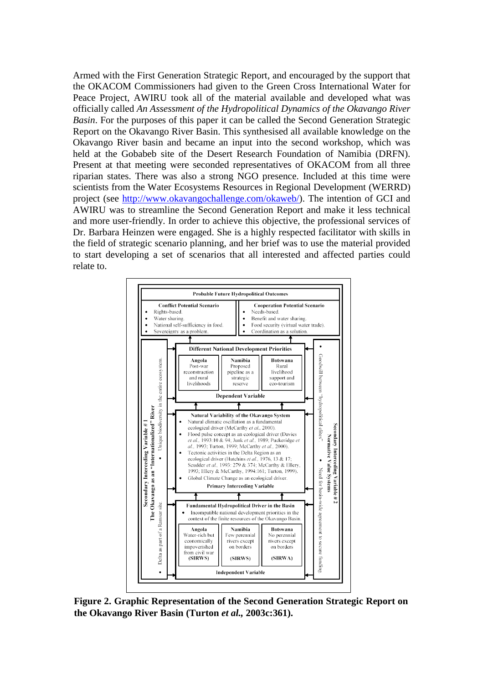Armed with the First Generation Strategic Report, and encouraged by the support that the OKACOM Commissioners had given to the Green Cross International Water for Peace Project, AWIRU took all of the material available and developed what was officially called *An Assessment of the Hydropolitical Dynamics of the Okavango River Basin*. For the purposes of this paper it can be called the Second Generation Strategic Report on the Okavango River Basin. This synthesised all available knowledge on the Okavango River basin and became an input into the second workshop, which was held at the Gobabeb site of the Desert Research Foundation of Namibia (DRFN). Present at that meeting were seconded representatives of OKACOM from all three riparian states. There was also a strong NGO presence. Included at this time were scientists from the Water Ecosystems Resources in Regional Development (WERRD) project (see http://www.okavangochallenge.com/okaweb/). The intention of GCI and AWIRU was to streamline the Second Generation Report and make it less technical and more user-friendly. In order to achieve this objective, the professional services of Dr. Barbara Heinzen were engaged. She is a highly respected facilitator with skills in the field of strategic scenario planning, and her brief was to use the material provided to start developing a set of scenarios that all interested and affected parties could relate to.



**Figure 2. Graphic Representation of the Second Generation Strategic Report on the Okavango River Basin (Turton** *et al.,* **2003c:361).**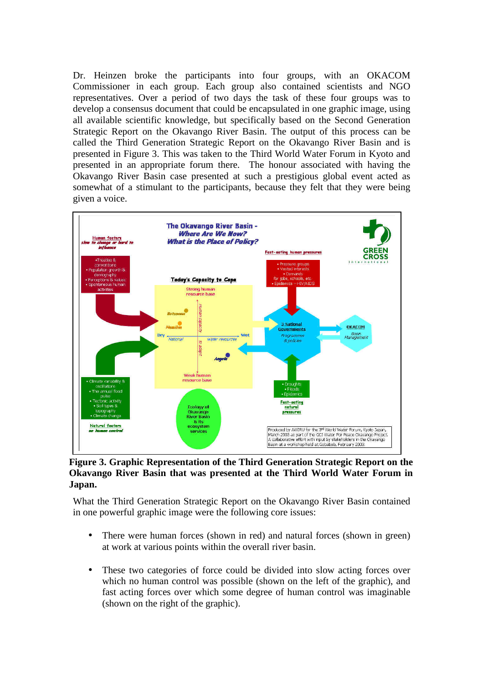Dr. Heinzen broke the participants into four groups, with an OKACOM Commissioner in each group. Each group also contained scientists and NGO representatives. Over a period of two days the task of these four groups was to develop a consensus document that could be encapsulated in one graphic image, using all available scientific knowledge, but specifically based on the Second Generation Strategic Report on the Okavango River Basin. The output of this process can be called the Third Generation Strategic Report on the Okavango River Basin and is presented in Figure 3. This was taken to the Third World Water Forum in Kyoto and presented in an appropriate forum there. The honour associated with having the Okavango River Basin case presented at such a prestigious global event acted as somewhat of a stimulant to the participants, because they felt that they were being given a voice.



**Figure 3. Graphic Representation of the Third Generation Strategic Report on the Okavango River Basin that was presented at the Third World Water Forum in Japan.** 

What the Third Generation Strategic Report on the Okavango River Basin contained in one powerful graphic image were the following core issues:

- There were human forces (shown in red) and natural forces (shown in green) at work at various points within the overall river basin.
- These two categories of force could be divided into slow acting forces over which no human control was possible (shown on the left of the graphic), and fast acting forces over which some degree of human control was imaginable (shown on the right of the graphic).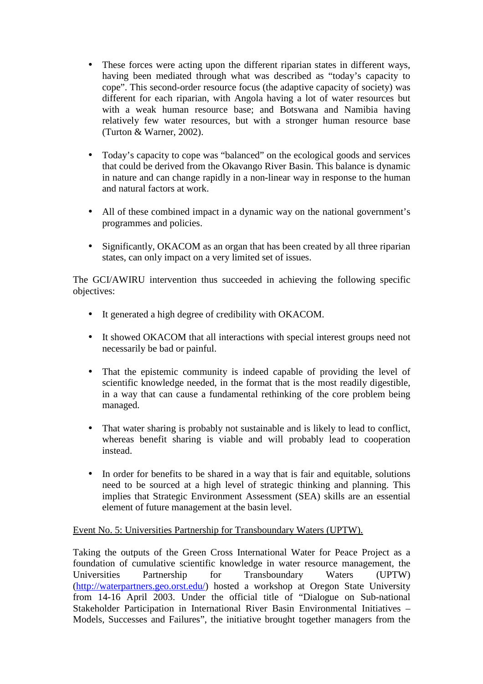- These forces were acting upon the different riparian states in different ways, having been mediated through what was described as "today's capacity to cope". This second-order resource focus (the adaptive capacity of society) was different for each riparian, with Angola having a lot of water resources but with a weak human resource base; and Botswana and Namibia having relatively few water resources, but with a stronger human resource base (Turton & Warner, 2002).
- Today's capacity to cope was "balanced" on the ecological goods and services that could be derived from the Okavango River Basin. This balance is dynamic in nature and can change rapidly in a non-linear way in response to the human and natural factors at work.
- All of these combined impact in a dynamic way on the national government's programmes and policies.
- Significantly, OKACOM as an organ that has been created by all three riparian states, can only impact on a very limited set of issues.

The GCI/AWIRU intervention thus succeeded in achieving the following specific objectives:

- It generated a high degree of credibility with OKACOM.
- It showed OKACOM that all interactions with special interest groups need not necessarily be bad or painful.
- That the epistemic community is indeed capable of providing the level of scientific knowledge needed, in the format that is the most readily digestible, in a way that can cause a fundamental rethinking of the core problem being managed.
- That water sharing is probably not sustainable and is likely to lead to conflict, whereas benefit sharing is viable and will probably lead to cooperation instead.
- In order for benefits to be shared in a way that is fair and equitable, solutions need to be sourced at a high level of strategic thinking and planning. This implies that Strategic Environment Assessment (SEA) skills are an essential element of future management at the basin level.

# Event No. 5: Universities Partnership for Transboundary Waters (UPTW).

Taking the outputs of the Green Cross International Water for Peace Project as a foundation of cumulative scientific knowledge in water resource management, the Universities Partnership for Transboundary Waters (UPTW) (http://waterpartners.geo.orst.edu/) hosted a workshop at Oregon State University from 14-16 April 2003. Under the official title of "Dialogue on Sub-national Stakeholder Participation in International River Basin Environmental Initiatives – Models, Successes and Failures", the initiative brought together managers from the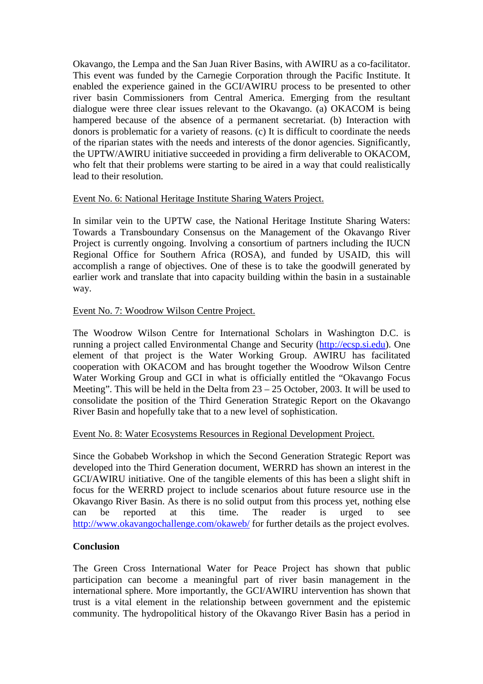Okavango, the Lempa and the San Juan River Basins, with AWIRU as a co-facilitator. This event was funded by the Carnegie Corporation through the Pacific Institute. It enabled the experience gained in the GCI/AWIRU process to be presented to other river basin Commissioners from Central America. Emerging from the resultant dialogue were three clear issues relevant to the Okavango. (a) OKACOM is being hampered because of the absence of a permanent secretariat. (b) Interaction with donors is problematic for a variety of reasons. (c) It is difficult to coordinate the needs of the riparian states with the needs and interests of the donor agencies. Significantly, the UPTW/AWIRU initiative succeeded in providing a firm deliverable to OKACOM, who felt that their problems were starting to be aired in a way that could realistically lead to their resolution.

## Event No. 6: National Heritage Institute Sharing Waters Project.

In similar vein to the UPTW case, the National Heritage Institute Sharing Waters: Towards a Transboundary Consensus on the Management of the Okavango River Project is currently ongoing. Involving a consortium of partners including the IUCN Regional Office for Southern Africa (ROSA), and funded by USAID, this will accomplish a range of objectives. One of these is to take the goodwill generated by earlier work and translate that into capacity building within the basin in a sustainable way.

## Event No. 7: Woodrow Wilson Centre Project.

The Woodrow Wilson Centre for International Scholars in Washington D.C. is running a project called Environmental Change and Security (http://ecsp.si.edu). One element of that project is the Water Working Group. AWIRU has facilitated cooperation with OKACOM and has brought together the Woodrow Wilson Centre Water Working Group and GCI in what is officially entitled the "Okavango Focus Meeting". This will be held in the Delta from  $23 - 25$  October, 2003. It will be used to consolidate the position of the Third Generation Strategic Report on the Okavango River Basin and hopefully take that to a new level of sophistication.

## Event No. 8: Water Ecosystems Resources in Regional Development Project.

Since the Gobabeb Workshop in which the Second Generation Strategic Report was developed into the Third Generation document, WERRD has shown an interest in the GCI/AWIRU initiative. One of the tangible elements of this has been a slight shift in focus for the WERRD project to include scenarios about future resource use in the Okavango River Basin. As there is no solid output from this process yet, nothing else can be reported at this time. The reader is urged to see http://www.okavangochallenge.com/okaweb/ for further details as the project evolves.

# **Conclusion**

The Green Cross International Water for Peace Project has shown that public participation can become a meaningful part of river basin management in the international sphere. More importantly, the GCI/AWIRU intervention has shown that trust is a vital element in the relationship between government and the epistemic community. The hydropolitical history of the Okavango River Basin has a period in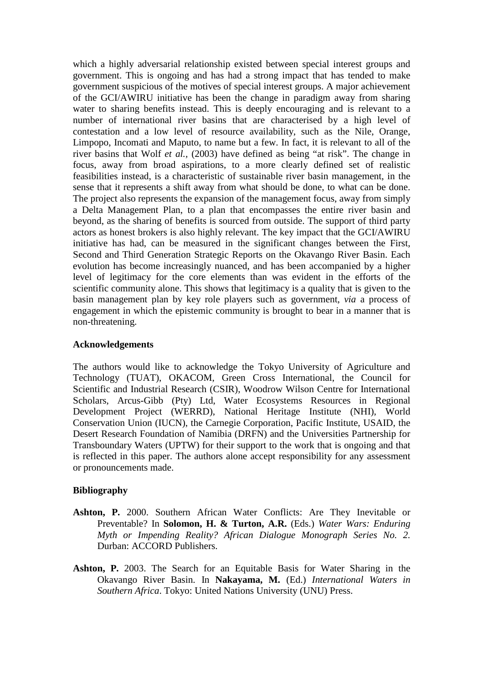which a highly adversarial relationship existed between special interest groups and government. This is ongoing and has had a strong impact that has tended to make government suspicious of the motives of special interest groups. A major achievement of the GCI/AWIRU initiative has been the change in paradigm away from sharing water to sharing benefits instead. This is deeply encouraging and is relevant to a number of international river basins that are characterised by a high level of contestation and a low level of resource availability, such as the Nile, Orange, Limpopo, Incomati and Maputo, to name but a few. In fact, it is relevant to all of the river basins that Wolf *et al.,* (2003) have defined as being "at risk". The change in focus, away from broad aspirations, to a more clearly defined set of realistic feasibilities instead, is a characteristic of sustainable river basin management, in the sense that it represents a shift away from what should be done, to what can be done. The project also represents the expansion of the management focus, away from simply a Delta Management Plan, to a plan that encompasses the entire river basin and beyond, as the sharing of benefits is sourced from outside. The support of third party actors as honest brokers is also highly relevant. The key impact that the GCI/AWIRU initiative has had, can be measured in the significant changes between the First, Second and Third Generation Strategic Reports on the Okavango River Basin. Each evolution has become increasingly nuanced, and has been accompanied by a higher level of legitimacy for the core elements than was evident in the efforts of the scientific community alone. This shows that legitimacy is a quality that is given to the basin management plan by key role players such as government, *via* a process of engagement in which the epistemic community is brought to bear in a manner that is non-threatening.

## **Acknowledgements**

The authors would like to acknowledge the Tokyo University of Agriculture and Technology (TUAT), OKACOM, Green Cross International, the Council for Scientific and Industrial Research (CSIR), Woodrow Wilson Centre for International Scholars, Arcus-Gibb (Pty) Ltd, Water Ecosystems Resources in Regional Development Project (WERRD), National Heritage Institute (NHI), World Conservation Union (IUCN), the Carnegie Corporation, Pacific Institute, USAID, the Desert Research Foundation of Namibia (DRFN) and the Universities Partnership for Transboundary Waters (UPTW) for their support to the work that is ongoing and that is reflected in this paper. The authors alone accept responsibility for any assessment or pronouncements made.

## **Bibliography**

- Ashton, P. 2000. Southern African Water Conflicts: Are They Inevitable or Preventable? In **Solomon, H. & Turton, A.R.** (Eds.) *Water Wars: Enduring Myth or Impending Reality? African Dialogue Monograph Series No. 2.* Durban: ACCORD Publishers.
- **Ashton, P.** 2003. The Search for an Equitable Basis for Water Sharing in the Okavango River Basin. In **Nakayama, M.** (Ed.) *International Waters in Southern Africa*. Tokyo: United Nations University (UNU) Press.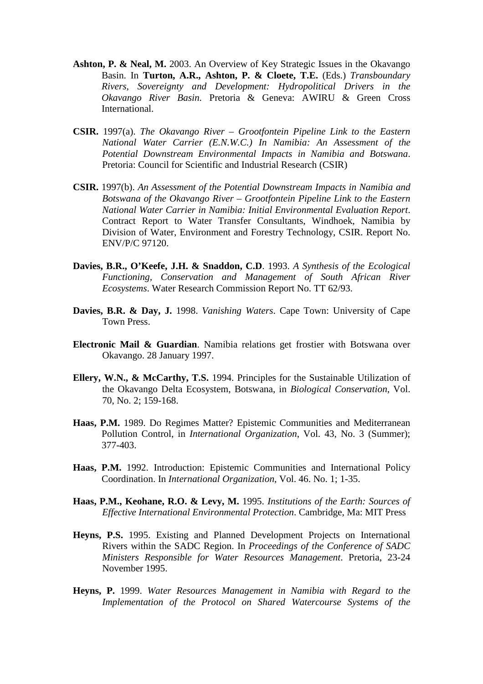- **Ashton, P. & Neal, M.** 2003. An Overview of Key Strategic Issues in the Okavango Basin. In **Turton, A.R., Ashton, P. & Cloete, T.E.** (Eds.) *Transboundary Rivers, Sovereignty and Development: Hydropolitical Drivers in the Okavango River Basin.* Pretoria & Geneva: AWIRU & Green Cross International.
- **CSIR.** 1997(a). *The Okavango River Grootfontein Pipeline Link to the Eastern National Water Carrier (E.N.W.C.) In Namibia: An Assessment of the Potential Downstream Environmental Impacts in Namibia and Botswana*. Pretoria: Council for Scientific and Industrial Research (CSIR)
- **CSIR.** 1997(b). *An Assessment of the Potential Downstream Impacts in Namibia and Botswana of the Okavango River – Grootfontein Pipeline Link to the Eastern National Water Carrier in Namibia: Initial Environmental Evaluation Report*. Contract Report to Water Transfer Consultants, Windhoek, Namibia by Division of Water, Environment and Forestry Technology, CSIR. Report No. ENV/P/C 97120.
- **Davies, B.R., O'Keefe, J.H. & Snaddon, C.D**. 1993. *A Synthesis of the Ecological Functioning, Conservation and Management of South African River Ecosystems*. Water Research Commission Report No. TT 62/93.
- **Davies, B.R. & Day, J.** 1998. *Vanishing Waters*. Cape Town: University of Cape Town Press.
- **Electronic Mail & Guardian**. Namibia relations get frostier with Botswana over Okavango. 28 January 1997.
- **Ellery, W.N., & McCarthy, T.S.** 1994. Principles for the Sustainable Utilization of the Okavango Delta Ecosystem, Botswana, in *Biological Conservation*, Vol. 70, No. 2; 159-168.
- **Haas, P.M.** 1989. Do Regimes Matter? Epistemic Communities and Mediterranean Pollution Control, in *International Organization*, Vol. 43, No. 3 (Summer); 377-403.
- **Haas, P.M.** 1992. Introduction: Epistemic Communities and International Policy Coordination. In *International Organization*, Vol. 46. No. 1; 1-35.
- **Haas, P.M., Keohane, R.O. & Levy, M.** 1995. *Institutions of the Earth: Sources of Effective International Environmental Protection*. Cambridge, Ma: MIT Press
- **Heyns, P.S.** 1995. Existing and Planned Development Projects on International Rivers within the SADC Region. In *Proceedings of the Conference of SADC Ministers Responsible for Water Resources Management*. Pretoria, 23-24 November 1995.
- **Heyns, P.** 1999. *Water Resources Management in Namibia with Regard to the Implementation of the Protocol on Shared Watercourse Systems of the*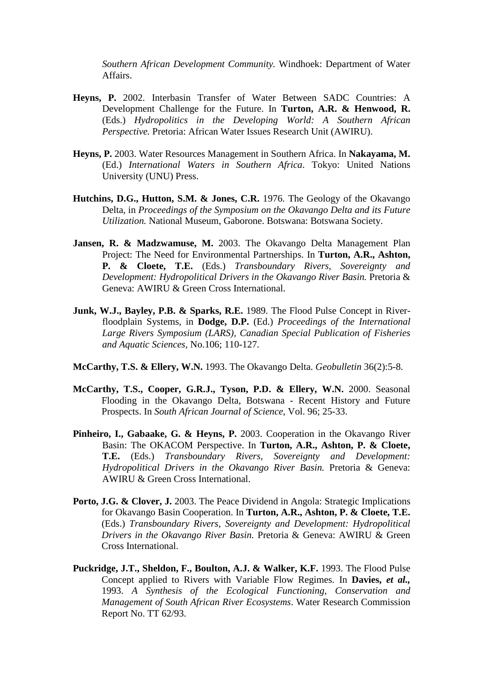*Southern African Development Community.* Windhoek: Department of Water Affairs.

- **Heyns, P.** 2002. Interbasin Transfer of Water Between SADC Countries: A Development Challenge for the Future. In **Turton, A.R. & Henwood, R.** (Eds.) *Hydropolitics in the Developing World: A Southern African Perspective.* Pretoria: African Water Issues Research Unit (AWIRU).
- **Heyns, P.** 2003. Water Resources Management in Southern Africa. In **Nakayama, M.** (Ed.) *International Waters in Southern Africa*. Tokyo: United Nations University (UNU) Press.
- **Hutchins, D.G., Hutton, S.M. & Jones, C.R.** 1976. The Geology of the Okavango Delta, in *Proceedings of the Symposium on the Okavango Delta and its Future Utilization.* National Museum, Gaborone. Botswana: Botswana Society.
- **Jansen, R. & Madzwamuse, M.** 2003. The Okavango Delta Management Plan Project: The Need for Environmental Partnerships. In **Turton, A.R., Ashton, P. & Cloete, T.E.** (Eds.) *Transboundary Rivers, Sovereignty and Development: Hydropolitical Drivers in the Okavango River Basin.* Pretoria & Geneva: AWIRU & Green Cross International.
- **Junk, W.J., Bayley, P.B. & Sparks, R.E.** 1989. The Flood Pulse Concept in Riverfloodplain Systems, in **Dodge, D.P.** (Ed.) *Proceedings of the International Large Rivers Symposium (LARS), Canadian Special Publication of Fisheries and Aquatic Sciences,* No.106; 110-127.
- **McCarthy, T.S. & Ellery, W.N.** 1993. The Okavango Delta. *Geobulletin* 36(2):5-8.
- **McCarthy, T.S., Cooper, G.R.J., Tyson, P.D. & Ellery, W.N.** 2000. Seasonal Flooding in the Okavango Delta, Botswana - Recent History and Future Prospects. In *South African Journal of Science*, Vol. 96; 25-33.
- **Pinheiro, I., Gabaake, G. & Heyns, P.** 2003. Cooperation in the Okavango River Basin: The OKACOM Perspective. In **Turton, A.R., Ashton, P. & Cloete, T.E.** (Eds.) *Transboundary Rivers, Sovereignty and Development: Hydropolitical Drivers in the Okavango River Basin.* Pretoria & Geneva: AWIRU & Green Cross International.
- Porto, **J.G. & Clover, J.** 2003. The Peace Dividend in Angola: Strategic Implications for Okavango Basin Cooperation. In **Turton, A.R., Ashton, P. & Cloete, T.E.** (Eds.) *Transboundary Rivers, Sovereignty and Development: Hydropolitical Drivers in the Okavango River Basin.* Pretoria & Geneva: AWIRU & Green Cross International.
- **Puckridge, J.T., Sheldon, F., Boulton, A.J. & Walker, K.F.** 1993. The Flood Pulse Concept applied to Rivers with Variable Flow Regimes. In **Davies,** *et al.,* 1993. *A Synthesis of the Ecological Functioning, Conservation and Management of South African River Ecosystems*. Water Research Commission Report No. TT 62/93.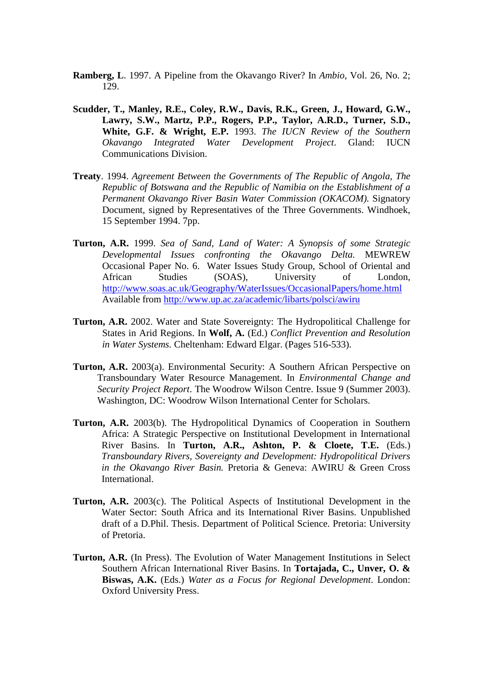- **Ramberg, L**. 1997. A Pipeline from the Okavango River? In *Ambio*, Vol. 26, No. 2; 129.
- **Scudder, T., Manley, R.E., Coley, R.W., Davis, R.K., Green, J., Howard, G.W., Lawry, S.W., Martz, P.P., Rogers, P.P., Taylor, A.R.D., Turner, S.D., White, G.F. & Wright, E.P.** 1993. *The IUCN Review of the Southern Okavango Integrated Water Development Project*. Gland: IUCN Communications Division.
- **Treaty**. 1994. *Agreement Between the Governments of The Republic of Angola, The Republic of Botswana and the Republic of Namibia on the Establishment of a Permanent Okavango River Basin Water Commission (OKACOM).* Signatory Document, signed by Representatives of the Three Governments. Windhoek, 15 September 1994. 7pp.
- **Turton, A.R.** 1999. *Sea of Sand, Land of Water: A Synopsis of some Strategic Developmental Issues confronting the Okavango Delta.* MEWREW Occasional Paper No. 6. Water Issues Study Group, School of Oriental and African Studies (SOAS), University of London, http://www.soas.ac.uk/Geography/WaterIssues/OccasionalPapers/home.html Available from http://www.up.ac.za/academic/libarts/polsci/awiru
- **Turton, A.R.** 2002. Water and State Sovereignty: The Hydropolitical Challenge for States in Arid Regions. In **Wolf, A.** (Ed.) *Conflict Prevention and Resolution in Water Systems.* Cheltenham: Edward Elgar. (Pages 516-533).
- **Turton, A.R.** 2003(a). Environmental Security: A Southern African Perspective on Transboundary Water Resource Management. In *Environmental Change and Security Project Report*. The Woodrow Wilson Centre. Issue 9 (Summer 2003). Washington, DC: Woodrow Wilson International Center for Scholars.
- **Turton, A.R.** 2003(b). The Hydropolitical Dynamics of Cooperation in Southern Africa: A Strategic Perspective on Institutional Development in International River Basins. In **Turton, A.R., Ashton, P. & Cloete, T.E.** (Eds.) *Transboundary Rivers, Sovereignty and Development: Hydropolitical Drivers in the Okavango River Basin.* Pretoria & Geneva: AWIRU & Green Cross International.
- **Turton, A.R.** 2003(c). The Political Aspects of Institutional Development in the Water Sector: South Africa and its International River Basins. Unpublished draft of a D.Phil. Thesis. Department of Political Science. Pretoria: University of Pretoria.
- **Turton, A.R.** (In Press). The Evolution of Water Management Institutions in Select Southern African International River Basins. In **Tortajada, C., Unver, O. & Biswas, A.K.** (Eds.) *Water as a Focus for Regional Development*. London: Oxford University Press.